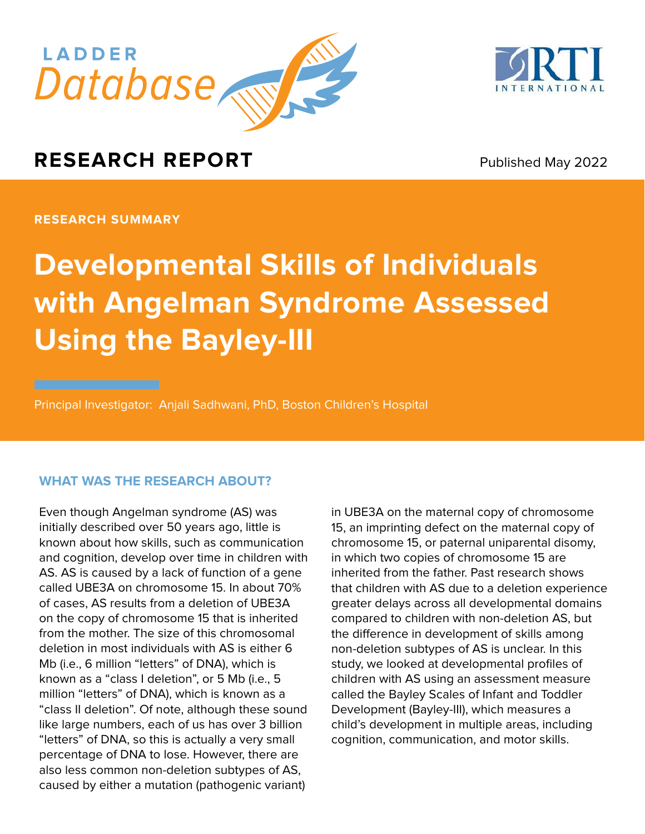



Published May 2022

**RESEARCH SUMMARY**

# **Developmental Skills of Individuals with Angelman Syndrome Assessed Using the Bayley-III**

Principal Investigator: Anjali Sadhwani, PhD, Boston Children's Hospital

## **WHAT WAS THE RESEARCH ABOUT?**

Even though Angelman syndrome (AS) was initially described over 50 years ago, little is known about how skills, such as communication and cognition, develop over time in children with AS. AS is caused by a lack of function of a gene called UBE3A on chromosome 15. In about 70% of cases, AS results from a deletion of UBE3A on the copy of chromosome 15 that is inherited from the mother. The size of this chromosomal deletion in most individuals with AS is either 6 Mb (i.e., 6 million "letters" of DNA), which is known as a "class I deletion", or 5 Mb (i.e., 5 million "letters" of DNA), which is known as a "class II deletion". Of note, although these sound like large numbers, each of us has over 3 billion "letters" of DNA, so this is actually a very small percentage of DNA to lose. However, there are also less common non-deletion subtypes of AS, caused by either a mutation (pathogenic variant)

in UBE3A on the maternal copy of chromosome 15, an imprinting defect on the maternal copy of chromosome 15, or paternal uniparental disomy, in which two copies of chromosome 15 are inherited from the father. Past research shows that children with AS due to a deletion experience greater delays across all developmental domains compared to children with non-deletion AS, but the difference in development of skills among non-deletion subtypes of AS is unclear. In this study, we looked at developmental profiles of children with AS using an assessment measure called the Bayley Scales of Infant and Toddler Development (Bayley-III), which measures a child's development in multiple areas, including cognition, communication, and motor skills.

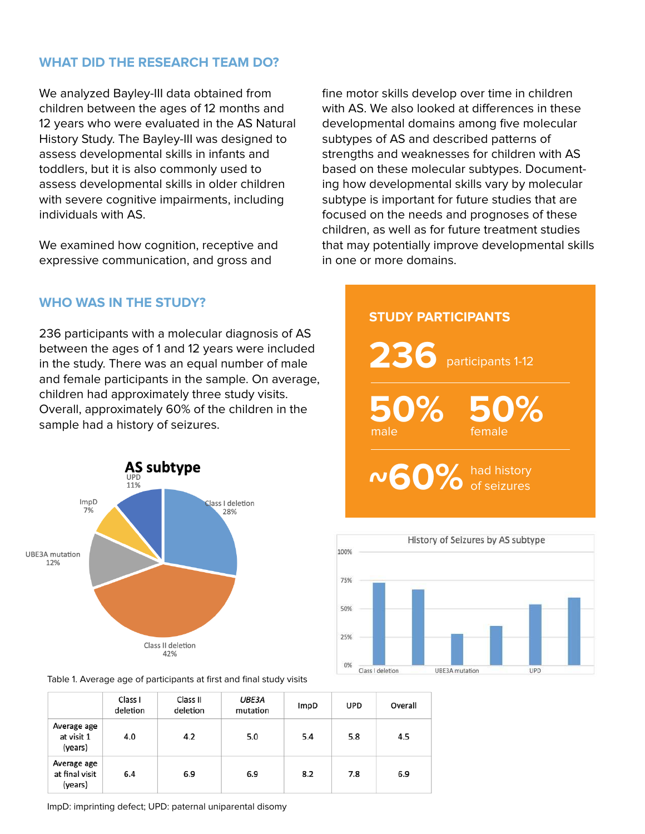## **WHAT DID THE RESEARCH TEAM DO?**

We analyzed Bayley-III data obtained from children between the ages of 12 months and 12 years who were evaluated in the AS Natural History Study. The Bayley-III was designed to assess developmental skills in infants and toddlers, but it is also commonly used to assess developmental skills in older children with severe cognitive impairments, including individuals with AS.

We examined how cognition, receptive and expressive communication, and gross and

**WHO WAS IN THE STUDY?**

236 participants with a molecular diagnosis of AS between the ages of 1 and 12 years were included in the study. There was an equal number of male and female participants in the sample. On average, children had approximately three study visits. Overall, approximately 60% of the children in the sample had a history of seizures.



Table 1. Average age of participants at first and final study visits

|                                          | Class I<br>deletion | Class II<br>deletion | <b>UBE3A</b><br>mutation | ImpD | UPD | Overall |
|------------------------------------------|---------------------|----------------------|--------------------------|------|-----|---------|
| Average age<br>at visit 1<br>(years)     | 4.0                 | 4.2                  | 5.0                      | 5.4  | 5.8 | 4.5     |
| Average age<br>at final visit<br>(years) | 6.4                 | 6.9                  | 6.9                      | 8.2  | 7.8 | 6.9     |

fine motor skills develop over time in children with AS. We also looked at differences in these developmental domains among five molecular subtypes of AS and described patterns of strengths and weaknesses for children with AS based on these molecular subtypes. Documenting how developmental skills vary by molecular subtype is important for future studies that are focused on the needs and prognoses of these children, as well as for future treatment studies that may potentially improve developmental skills in one or more domains.





ImpD: imprinting defect; UPD: paternal uniparental disomy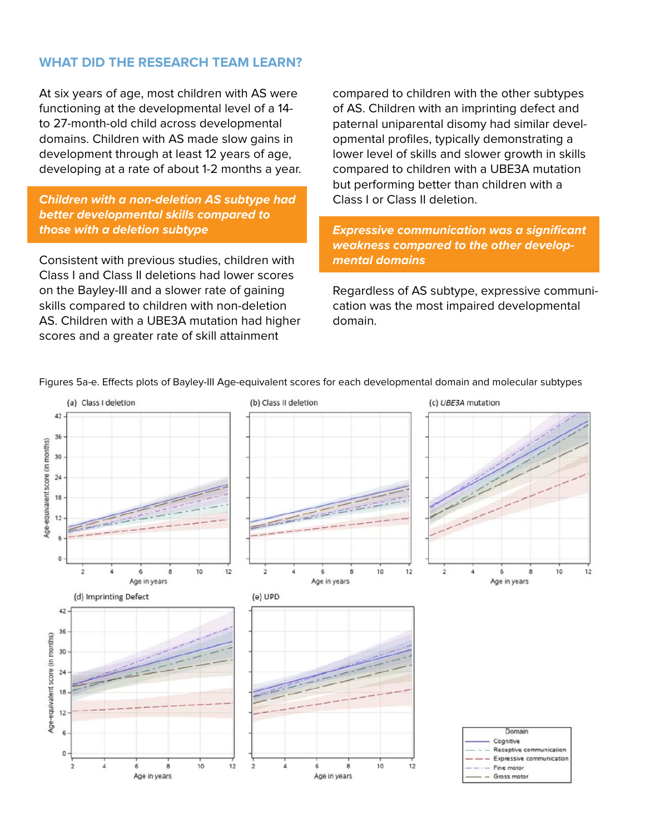### **WHAT DID THE RESEARCH TEAM LEARN?**

At six years of age, most children with AS were functioning at the developmental level of a 14 to 27-month-old child across developmental domains. Children with AS made slow gains in development through at least 12 years of age, developing at a rate of about 1-2 months a year.

#### **Children with a non-deletion AS subtype had better developmental skills compared to those with a deletion subtype**

Consistent with previous studies, children with Class I and Class II deletions had lower scores on the Bayley-III and a slower rate of gaining skills compared to children with non-deletion AS. Children with a UBE3A mutation had higher scores and a greater rate of skill attainment

compared to children with the other subtypes of AS. Children with an imprinting defect and paternal uniparental disomy had similar developmental profiles, typically demonstrating a lower level of skills and slower growth in skills compared to children with a UBE3A mutation but performing better than children with a Class I or Class II deletion.

**Expressive communication was a significant weakness compared to the other developmental domains**

Regardless of AS subtype, expressive communication was the most impaired developmental domain.